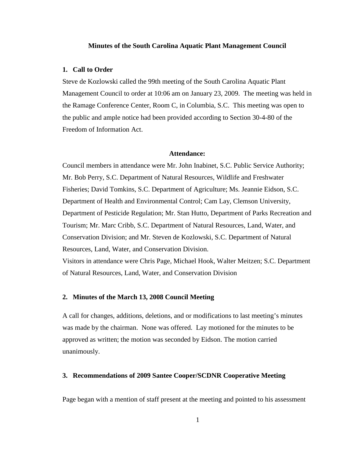#### **Minutes of the South Carolina Aquatic Plant Management Council**

#### **1. Call to Order**

Steve de Kozlowski called the 99th meeting of the South Carolina Aquatic Plant Management Council to order at 10:06 am on January 23, 2009. The meeting was held in the Ramage Conference Center, Room C, in Columbia, S.C. This meeting was open to the public and ample notice had been provided according to Section 30-4-80 of the Freedom of Information Act.

#### **Attendance:**

Council members in attendance were Mr. John Inabinet, S.C. Public Service Authority; Mr. Bob Perry, S.C. Department of Natural Resources, Wildlife and Freshwater Fisheries; David Tomkins, S.C. Department of Agriculture; Ms. Jeannie Eidson, S.C. Department of Health and Environmental Control; Cam Lay, Clemson University, Department of Pesticide Regulation; Mr. Stan Hutto, Department of Parks Recreation and Tourism; Mr. Marc Cribb, S.C. Department of Natural Resources, Land, Water, and Conservation Division; and Mr. Steven de Kozlowski, S.C. Department of Natural Resources, Land, Water, and Conservation Division. Visitors in attendance were Chris Page, Michael Hook, Walter Meitzen; S.C. Department of Natural Resources, Land, Water, and Conservation Division

### **2. Minutes of the March 13, 2008 Council Meeting**

A call for changes, additions, deletions, and or modifications to last meeting's minutes was made by the chairman. None was offered. Lay motioned for the minutes to be approved as written; the motion was seconded by Eidson. The motion carried unanimously.

#### **3. Recommendations of 2009 Santee Cooper/SCDNR Cooperative Meeting**

Page began with a mention of staff present at the meeting and pointed to his assessment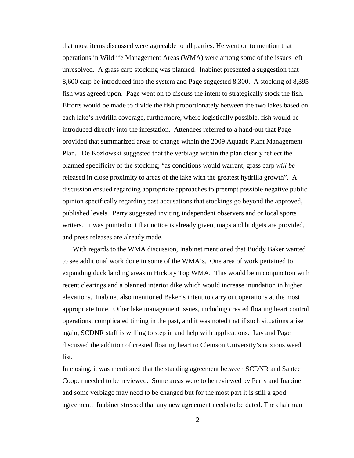that most items discussed were agreeable to all parties. He went on to mention that operations in Wildlife Management Areas (WMA) were among some of the issues left unresolved. A grass carp stocking was planned. Inabinet presented a suggestion that 8,600 carp be introduced into the system and Page suggested 8,300. A stocking of 8,395 fish was agreed upon. Page went on to discuss the intent to strategically stock the fish. Efforts would be made to divide the fish proportionately between the two lakes based on each lake's hydrilla coverage, furthermore, where logistically possible, fish would be introduced directly into the infestation. Attendees referred to a hand-out that Page provided that summarized areas of change within the 2009 Aquatic Plant Management Plan. De Kozlowski suggested that the verbiage within the plan clearly reflect the planned specificity of the stocking; "as conditions would warrant, grass carp *will be* released in close proximity to areas of the lake with the greatest hydrilla growth". A discussion ensued regarding appropriate approaches to preempt possible negative public opinion specifically regarding past accusations that stockings go beyond the approved, published levels. Perry suggested inviting independent observers and or local sports writers. It was pointed out that notice is already given, maps and budgets are provided, and press releases are already made.

With regards to the WMA discussion, Inabinet mentioned that Buddy Baker wanted to see additional work done in some of the WMA's. One area of work pertained to expanding duck landing areas in Hickory Top WMA. This would be in conjunction with recent clearings and a planned interior dike which would increase inundation in higher elevations. Inabinet also mentioned Baker's intent to carry out operations at the most appropriate time. Other lake management issues, including crested floating heart control operations, complicated timing in the past, and it was noted that if such situations arise again, SCDNR staff is willing to step in and help with applications. Lay and Page discussed the addition of crested floating heart to Clemson University's noxious weed list.

In closing, it was mentioned that the standing agreement between SCDNR and Santee Cooper needed to be reviewed. Some areas were to be reviewed by Perry and Inabinet and some verbiage may need to be changed but for the most part it is still a good agreement. Inabinet stressed that any new agreement needs to be dated. The chairman

2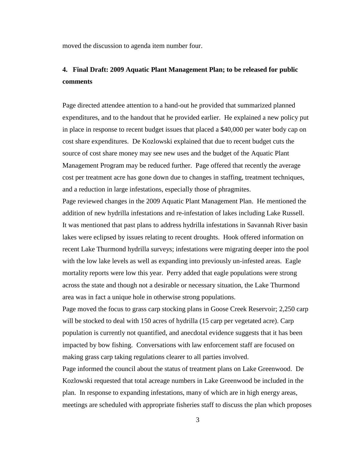moved the discussion to agenda item number four.

# **4. Final Draft: 2009 Aquatic Plant Management Plan; to be released for public comments**

Page directed attendee attention to a hand-out he provided that summarized planned expenditures, and to the handout that he provided earlier. He explained a new policy put in place in response to recent budget issues that placed a \$40,000 per water body cap on cost share expenditures. De Kozlowski explained that due to recent budget cuts the source of cost share money may see new uses and the budget of the Aquatic Plant Management Program may be reduced further. Page offered that recently the average cost per treatment acre has gone down due to changes in staffing, treatment techniques, and a reduction in large infestations, especially those of phragmites.

Page reviewed changes in the 2009 Aquatic Plant Management Plan. He mentioned the addition of new hydrilla infestations and re-infestation of lakes including Lake Russell. It was mentioned that past plans to address hydrilla infestations in Savannah River basin lakes were eclipsed by issues relating to recent droughts. Hook offered information on recent Lake Thurmond hydrilla surveys; infestations were migrating deeper into the pool with the low lake levels as well as expanding into previously un-infested areas. Eagle mortality reports were low this year. Perry added that eagle populations were strong across the state and though not a desirable or necessary situation, the Lake Thurmond area was in fact a unique hole in otherwise strong populations.

Page moved the focus to grass carp stocking plans in Goose Creek Reservoir; 2,250 carp will be stocked to deal with 150 acres of hydrilla (15 carp per vegetated acre). Carp population is currently not quantified, and anecdotal evidence suggests that it has been impacted by bow fishing. Conversations with law enforcement staff are focused on making grass carp taking regulations clearer to all parties involved.

Page informed the council about the status of treatment plans on Lake Greenwood. De Kozlowski requested that total acreage numbers in Lake Greenwood be included in the plan. In response to expanding infestations, many of which are in high energy areas, meetings are scheduled with appropriate fisheries staff to discuss the plan which proposes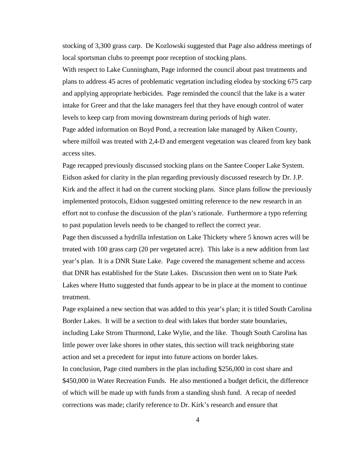stocking of 3,300 grass carp. De Kozlowski suggested that Page also address meetings of local sportsman clubs to preempt poor reception of stocking plans.

With respect to Lake Cunningham, Page informed the council about past treatments and plans to address 45 acres of problematic vegetation including elodea by stocking 675 carp and applying appropriate herbicides. Page reminded the council that the lake is a water intake for Greer and that the lake managers feel that they have enough control of water levels to keep carp from moving downstream during periods of high water.

Page added information on Boyd Pond, a recreation lake managed by Aiken County, where milfoil was treated with 2,4-D and emergent vegetation was cleared from key bank access sites.

Page recapped previously discussed stocking plans on the Santee Cooper Lake System. Eidson asked for clarity in the plan regarding previously discussed research by Dr. J.P. Kirk and the affect it had on the current stocking plans. Since plans follow the previously implemented protocols, Eidson suggested omitting reference to the new research in an effort not to confuse the discussion of the plan's rationale. Furthermore a typo referring to past population levels needs to be changed to reflect the correct year.

Page then discussed a hydrilla infestation on Lake Thickety where 5 known acres will be treated with 100 grass carp (20 per vegetated acre). This lake is a new addition from last year's plan. It is a DNR State Lake. Page covered the management scheme and access that DNR has established for the State Lakes. Discussion then went on to State Park Lakes where Hutto suggested that funds appear to be in place at the moment to continue treatment.

Page explained a new section that was added to this year's plan; it is titled South Carolina Border Lakes. It will be a section to deal with lakes that border state boundaries, including Lake Strom Thurmond, Lake Wylie, and the like. Though South Carolina has little power over lake shores in other states, this section will track neighboring state action and set a precedent for input into future actions on border lakes. In conclusion, Page cited numbers in the plan including \$256,000 in cost share and \$450,000 in Water Recreation Funds. He also mentioned a budget deficit, the difference of which will be made up with funds from a standing slush fund. A recap of needed corrections was made; clarify reference to Dr. Kirk's research and ensure that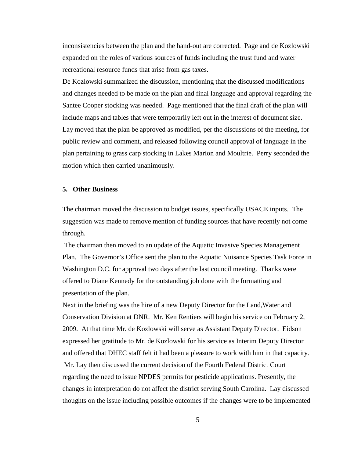inconsistencies between the plan and the hand-out are corrected. Page and de Kozlowski expanded on the roles of various sources of funds including the trust fund and water recreational resource funds that arise from gas taxes.

De Kozlowski summarized the discussion, mentioning that the discussed modifications and changes needed to be made on the plan and final language and approval regarding the Santee Cooper stocking was needed. Page mentioned that the final draft of the plan will include maps and tables that were temporarily left out in the interest of document size. Lay moved that the plan be approved as modified, per the discussions of the meeting, for public review and comment, and released following council approval of language in the plan pertaining to grass carp stocking in Lakes Marion and Moultrie. Perry seconded the motion which then carried unanimously.

#### **5. Other Business**

The chairman moved the discussion to budget issues, specifically USACE inputs. The suggestion was made to remove mention of funding sources that have recently not come through.

The chairman then moved to an update of the Aquatic Invasive Species Management Plan. The Governor's Office sent the plan to the Aquatic Nuisance Species Task Force in Washington D.C. for approval two days after the last council meeting. Thanks were offered to Diane Kennedy for the outstanding job done with the formatting and presentation of the plan.

Next in the briefing was the hire of a new Deputy Director for the Land,Water and Conservation Division at DNR. Mr. Ken Rentiers will begin his service on February 2, 2009. At that time Mr. de Kozlowski will serve as Assistant Deputy Director. Eidson expressed her gratitude to Mr. de Kozlowski for his service as Interim Deputy Director and offered that DHEC staff felt it had been a pleasure to work with him in that capacity. Mr. Lay then discussed the current decision of the Fourth Federal District Court regarding the need to issue NPDES permits for pesticide applications. Presently, the changes in interpretation do not affect the district serving South Carolina. Lay discussed thoughts on the issue including possible outcomes if the changes were to be implemented